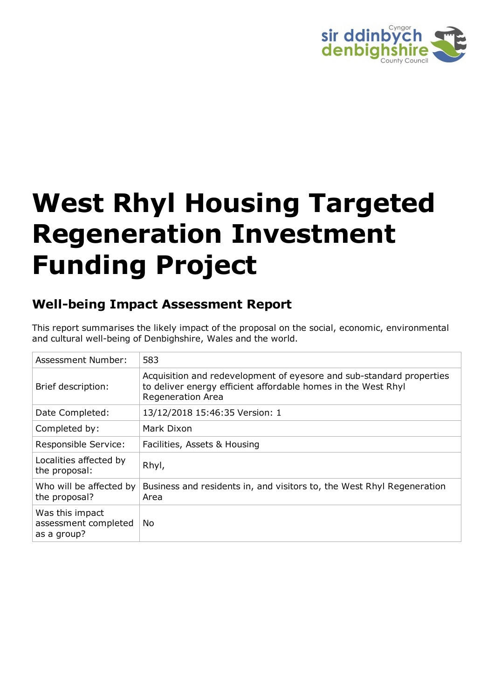

# **West Rhyl Housing Targeted Regeneration Investment Funding Project**

# **Well-being Impact Assessment Report**

This report summarises the likely impact of the proposal on the social, economic, environmental and cultural well-being of Denbighshire, Wales and the world.

| Assessment Number:                                     | 583                                                                                                                                                               |
|--------------------------------------------------------|-------------------------------------------------------------------------------------------------------------------------------------------------------------------|
| Brief description:                                     | Acquisition and redevelopment of eyesore and sub-standard properties<br>to deliver energy efficient affordable homes in the West Rhyl<br><b>Regeneration Area</b> |
| Date Completed:                                        | 13/12/2018 15:46:35 Version: 1                                                                                                                                    |
| Completed by:                                          | Mark Dixon                                                                                                                                                        |
| Responsible Service:                                   | Facilities, Assets & Housing                                                                                                                                      |
| Localities affected by<br>the proposal:                | Rhyl,                                                                                                                                                             |
| Who will be affected by<br>the proposal?               | Business and residents in, and visitors to, the West Rhyl Regeneration<br>Area                                                                                    |
| Was this impact<br>assessment completed<br>as a group? | No.                                                                                                                                                               |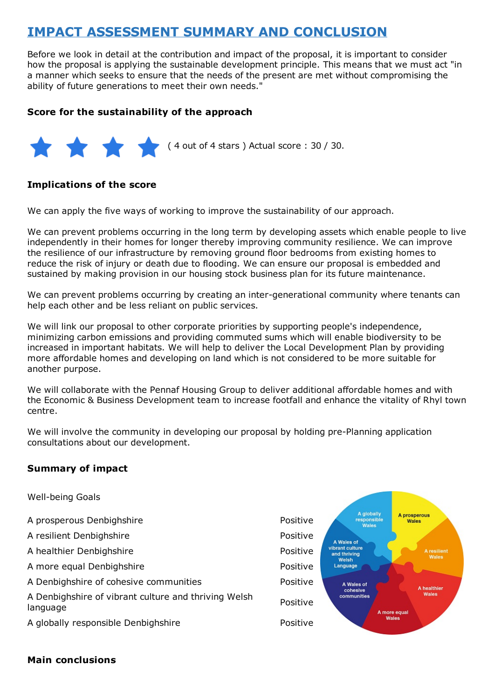# **IMPACT ASSESSMENT SUMMARY AND CONCLUSION**

Before we look in detail at the contribution and impact of the proposal, it is important to consider how the proposal is applying the sustainable development principle. This means that we must act "in a manner which seeks to ensure that the needs of the present are met without compromising the ability of future generations to meet their own needs."

#### **Score for the sustainability of the approach**



#### **Implications of the score**

We can apply the five ways of working to improve the sustainability of our approach.

We can prevent problems occurring in the long term by developing assets which enable people to live independently in their homes for longer thereby improving community resilience. We can improve the resilience of our infrastructure by removing ground floor bedrooms from existing homes to reduce the risk of injury or death due to flooding. We can ensure our proposal is embedded and sustained by making provision in our housing stock business plan for its future maintenance.

We can prevent problems occurring by creating an inter-generational community where tenants can help each other and be less reliant on public services.

We will link our proposal to other corporate priorities by supporting people's independence, minimizing carbon emissions and providing commuted sums which will enable biodiversity to be increased in important habitats. We will help to deliver the Local Development Plan by providing more affordable homes and developing on land which is not considered to be more suitable for another purpose.

We will collaborate with the Pennaf Housing Group to deliver additional affordable homes and with the Economic & Business Development team to increase footfall and enhance the vitality of Rhyl town centre.

We will involve the community in developing our proposal by holding pre-Planning application consultations about our development.

#### **Summary of impact**

| <b>Well-being Goals</b>                                          |          |                                           |                              |
|------------------------------------------------------------------|----------|-------------------------------------------|------------------------------|
| A prosperous Denbighshire                                        | Positive | A globally<br>responsible<br><b>Wales</b> | A prosperous<br><b>Wales</b> |
| A resilient Denbighshire                                         | Positive | A Wales of                                |                              |
| A healthier Denbighshire                                         | Positive | vibrant culture<br>and thriving           | A resilient<br>Wales         |
| A more equal Denbighshire                                        | Positive | Welsh<br>Language                         |                              |
| A Denbighshire of cohesive communities                           | Positive | A Wales of                                | A healthier                  |
| A Denbighshire of vibrant culture and thriving Welsh<br>language | Positive | cohesive<br>communities<br>A more equal   | Wales                        |
| A globally responsible Denbighshire                              | Positive | Wales                                     |                              |

#### **Main conclusions**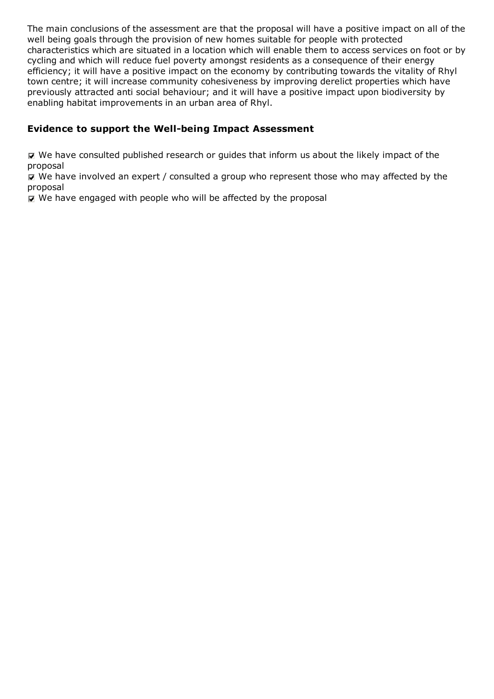The main conclusions of the assessment are that the proposal will have a positive impact on all of the well being goals through the provision of new homes suitable for people with protected characteristics which are situated in a location which will enable them to access services on foot or by cycling and which will reduce fuel poverty amongst residents as a consequence of their energy efficiency; it will have a positive impact on the economy by contributing towards the vitality of Rhyl town centre; it will increase community cohesiveness by improving derelict properties which have previously attracted anti social behaviour; and it will have a positive impact upon biodiversity by enabling habitat improvements in an urban area of Rhyl.

#### **Evidence to support the Well-being Impact Assessment**

 $\nabla$  We have consulted published research or guides that inform us about the likely impact of the proposal

 $\mathbf F$  We have involved an expert / consulted a group who represent those who may affected by the proposal

 $\triangledown$  We have engaged with people who will be affected by the proposal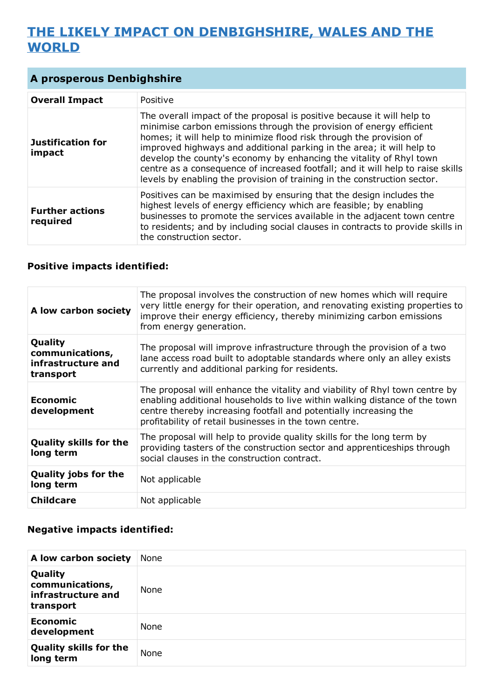# **THE LIKELY IMPACT ON DENBIGHSHIRE, WALES AND THE WORLD**

## **A prosperous Denbighshire**

| <b>Overall Impact</b>              | Positive                                                                                                                                                                                                                                                                                                                                                                                                                                                                                                                            |
|------------------------------------|-------------------------------------------------------------------------------------------------------------------------------------------------------------------------------------------------------------------------------------------------------------------------------------------------------------------------------------------------------------------------------------------------------------------------------------------------------------------------------------------------------------------------------------|
| Justification for<br>impact        | The overall impact of the proposal is positive because it will help to<br>minimise carbon emissions through the provision of energy efficient<br>homes; it will help to minimize flood risk through the provision of<br>improved highways and additional parking in the area; it will help to<br>develop the county's economy by enhancing the vitality of Rhyl town<br>centre as a consequence of increased footfall; and it will help to raise skills<br>levels by enabling the provision of training in the construction sector. |
| <b>Further actions</b><br>required | Positives can be maximised by ensuring that the design includes the<br>highest levels of energy efficiency which are feasible; by enabling<br>businesses to promote the services available in the adjacent town centre<br>to residents; and by including social clauses in contracts to provide skills in<br>the construction sector.                                                                                                                                                                                               |

#### **Positive impacts identified:**

| A low carbon society                                          | The proposal involves the construction of new homes which will require<br>very little energy for their operation, and renovating existing properties to<br>improve their energy efficiency, thereby minimizing carbon emissions<br>from energy generation.                               |
|---------------------------------------------------------------|------------------------------------------------------------------------------------------------------------------------------------------------------------------------------------------------------------------------------------------------------------------------------------------|
| Quality<br>communications,<br>infrastructure and<br>transport | The proposal will improve infrastructure through the provision of a two<br>lane access road built to adoptable standards where only an alley exists<br>currently and additional parking for residents.                                                                                   |
| <b>Economic</b><br>development                                | The proposal will enhance the vitality and viability of Rhyl town centre by<br>enabling additional households to live within walking distance of the town<br>centre thereby increasing footfall and potentially increasing the<br>profitability of retail businesses in the town centre. |
| <b>Quality skills for the</b><br>long term                    | The proposal will help to provide quality skills for the long term by<br>providing tasters of the construction sector and apprenticeships through<br>social clauses in the construction contract.                                                                                        |
| <b>Quality jobs for the</b><br>long term                      | Not applicable                                                                                                                                                                                                                                                                           |
| <b>Childcare</b>                                              | Not applicable                                                                                                                                                                                                                                                                           |

| A low carbon society                                          | None |
|---------------------------------------------------------------|------|
| Quality<br>communications,<br>infrastructure and<br>transport | None |
| <b>Economic</b><br>development                                | None |
| <b>Quality skills for the</b><br>long term                    | None |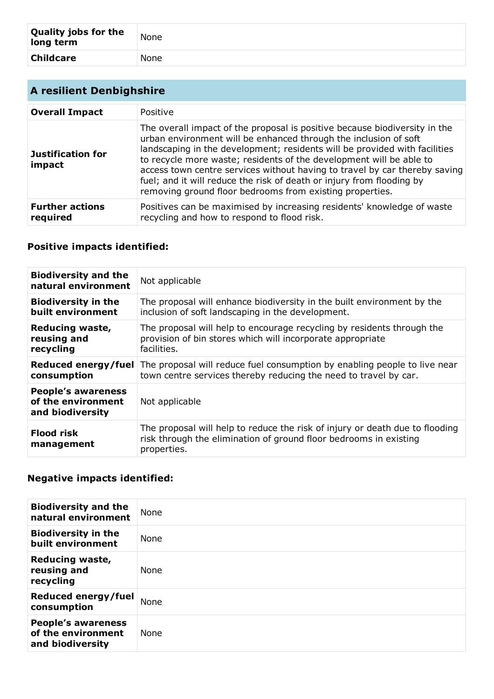| <b>Quality jobs for the</b><br>long term | None |
|------------------------------------------|------|
| <b>Childcare</b>                         | None |

| <b>A resilient Denbighshire</b>    |                                                                                                                                                                                                                                                                                                                                                                                                                                                                                                                        |
|------------------------------------|------------------------------------------------------------------------------------------------------------------------------------------------------------------------------------------------------------------------------------------------------------------------------------------------------------------------------------------------------------------------------------------------------------------------------------------------------------------------------------------------------------------------|
| <b>Overall Impact</b>              | Positive                                                                                                                                                                                                                                                                                                                                                                                                                                                                                                               |
| <b>Justification for</b><br>impact | The overall impact of the proposal is positive because biodiversity in the<br>urban environment will be enhanced through the inclusion of soft<br>landscaping in the development; residents will be provided with facilities<br>to recycle more waste; residents of the development will be able to<br>access town centre services without having to travel by car thereby saving<br>fuel; and it will reduce the risk of death or injury from flooding by<br>removing ground floor bedrooms from existing properties. |
| <b>Further actions</b><br>required | Positives can be maximised by increasing residents' knowledge of waste<br>recycling and how to respond to flood risk.                                                                                                                                                                                                                                                                                                                                                                                                  |

# **Positive impacts identified:**

| <b>Biodiversity and the</b><br>natural environment                  | Not applicable                                                                                                                                                   |
|---------------------------------------------------------------------|------------------------------------------------------------------------------------------------------------------------------------------------------------------|
| <b>Biodiversity in the</b>                                          | The proposal will enhance biodiversity in the built environment by the                                                                                           |
| built environment                                                   | inclusion of soft landscaping in the development.                                                                                                                |
| Reducing waste,                                                     | The proposal will help to encourage recycling by residents through the                                                                                           |
| reusing and                                                         | provision of bin stores which will incorporate appropriate                                                                                                       |
| recycling                                                           | facilities.                                                                                                                                                      |
| Reduced energy/fuel                                                 | The proposal will reduce fuel consumption by enabling people to live near                                                                                        |
| consumption                                                         | town centre services thereby reducing the need to travel by car.                                                                                                 |
| <b>People's awareness</b><br>of the environment<br>and biodiversity | Not applicable                                                                                                                                                   |
| <b>Flood risk</b><br>management                                     | The proposal will help to reduce the risk of injury or death due to flooding<br>risk through the elimination of ground floor bedrooms in existing<br>properties. |

| <b>Biodiversity and the</b><br>natural environment                  | None        |
|---------------------------------------------------------------------|-------------|
| <b>Biodiversity in the</b><br>built environment                     | <b>None</b> |
| <b>Reducing waste,</b><br>reusing and<br>recycling                  | <b>None</b> |
| <b>Reduced energy/fuel</b><br>consumption                           | None        |
| <b>People's awareness</b><br>of the environment<br>and biodiversity | None        |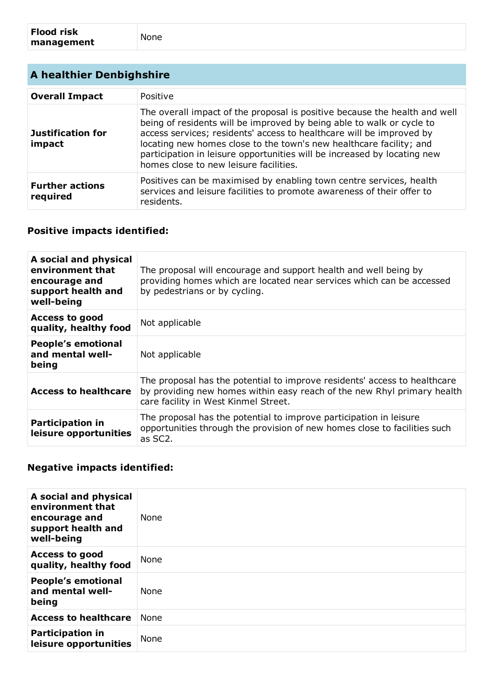| A healthier Denbighshire           |                                                                                                                                                                                                                                                                                                                                                                                                                          |
|------------------------------------|--------------------------------------------------------------------------------------------------------------------------------------------------------------------------------------------------------------------------------------------------------------------------------------------------------------------------------------------------------------------------------------------------------------------------|
| <b>Overall Impact</b>              | Positive                                                                                                                                                                                                                                                                                                                                                                                                                 |
| <b>Justification for</b><br>impact | The overall impact of the proposal is positive because the health and well<br>being of residents will be improved by being able to walk or cycle to<br>access services; residents' access to healthcare will be improved by<br>locating new homes close to the town's new healthcare facility; and<br>participation in leisure opportunities will be increased by locating new<br>homes close to new leisure facilities. |
| <b>Further actions</b><br>required | Positives can be maximised by enabling town centre services, health<br>services and leisure facilities to promote awareness of their offer to<br>residents.                                                                                                                                                                                                                                                              |

## **Positive impacts identified:**

| A social and physical<br>environment that<br>encourage and<br>support health and<br>well-being | The proposal will encourage and support health and well being by<br>providing homes which are located near services which can be accessed<br>by pedestrians or by cycling.                   |
|------------------------------------------------------------------------------------------------|----------------------------------------------------------------------------------------------------------------------------------------------------------------------------------------------|
| <b>Access to good</b><br>quality, healthy food                                                 | Not applicable                                                                                                                                                                               |
| <b>People's emotional</b><br>and mental well-<br>being                                         | Not applicable                                                                                                                                                                               |
| Access to healthcare                                                                           | The proposal has the potential to improve residents' access to healthcare<br>by providing new homes within easy reach of the new Rhyl primary health<br>care facility in West Kinmel Street. |
| <b>Participation in</b><br>leisure opportunities                                               | The proposal has the potential to improve participation in leisure<br>opportunities through the provision of new homes close to facilities such<br>as SC2.                                   |

| A social and physical<br>environment that<br>encourage and<br>support health and<br>well-being | <b>None</b> |
|------------------------------------------------------------------------------------------------|-------------|
| <b>Access to good</b><br>quality, healthy food                                                 | None        |
| <b>People's emotional</b><br>and mental well-<br>being                                         | <b>None</b> |
| <b>Access to healthcare</b>                                                                    | None        |
| <b>Participation in</b><br>leisure opportunities                                               | None        |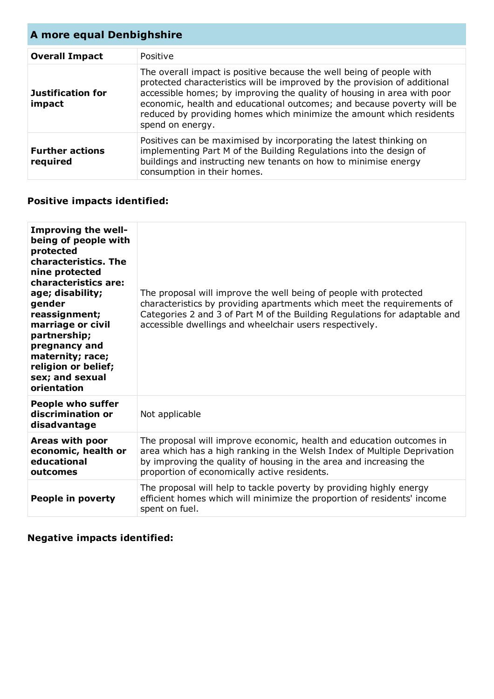| A more equal Denbighshire          |                                                                                                                                                                                                                                                                                                                                                                                                    |
|------------------------------------|----------------------------------------------------------------------------------------------------------------------------------------------------------------------------------------------------------------------------------------------------------------------------------------------------------------------------------------------------------------------------------------------------|
| <b>Overall Impact</b>              | Positive                                                                                                                                                                                                                                                                                                                                                                                           |
| <b>Justification for</b><br>impact | The overall impact is positive because the well being of people with<br>protected characteristics will be improved by the provision of additional<br>accessible homes; by improving the quality of housing in area with poor<br>economic, health and educational outcomes; and because poverty will be<br>reduced by providing homes which minimize the amount which residents<br>spend on energy. |
| <b>Further actions</b><br>required | Positives can be maximised by incorporating the latest thinking on<br>implementing Part M of the Building Regulations into the design of<br>buildings and instructing new tenants on how to minimise energy<br>consumption in their homes.                                                                                                                                                         |

# **Positive impacts identified:**

| <b>Improving the well-</b><br>being of people with<br>protected<br>characteristics. The<br>nine protected<br>characteristics are:<br>age; disability;<br>gender<br>reassignment;<br>marriage or civil<br>partnership;<br>pregnancy and<br>maternity; race;<br>religion or belief;<br>sex; and sexual<br>orientation | The proposal will improve the well being of people with protected<br>characteristics by providing apartments which meet the requirements of<br>Categories 2 and 3 of Part M of the Building Regulations for adaptable and<br>accessible dwellings and wheelchair users respectively. |
|---------------------------------------------------------------------------------------------------------------------------------------------------------------------------------------------------------------------------------------------------------------------------------------------------------------------|--------------------------------------------------------------------------------------------------------------------------------------------------------------------------------------------------------------------------------------------------------------------------------------|
| <b>People who suffer</b><br>discrimination or<br>disadvantage                                                                                                                                                                                                                                                       | Not applicable                                                                                                                                                                                                                                                                       |
| Areas with poor<br>economic, health or<br>educational<br>outcomes                                                                                                                                                                                                                                                   | The proposal will improve economic, health and education outcomes in<br>area which has a high ranking in the Welsh Index of Multiple Deprivation<br>by improving the quality of housing in the area and increasing the<br>proportion of economically active residents.               |
| People in poverty                                                                                                                                                                                                                                                                                                   | The proposal will help to tackle poverty by providing highly energy<br>efficient homes which will minimize the proportion of residents' income<br>spent on fuel.                                                                                                                     |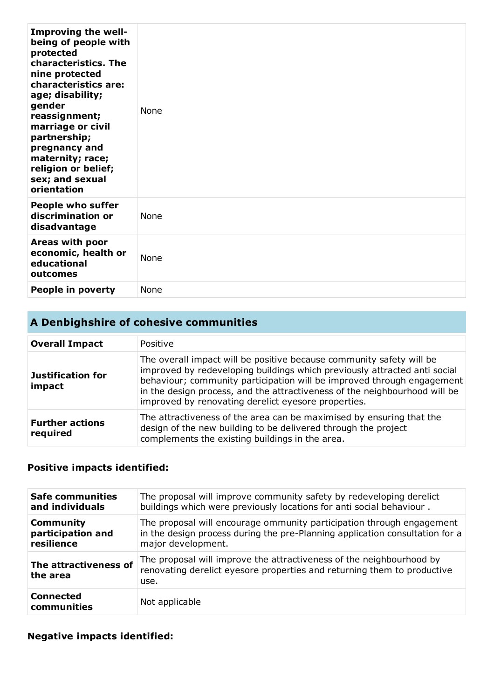| <b>Improving the well-</b><br>being of people with<br>protected<br>characteristics. The<br>nine protected<br>characteristics are:<br>age; disability;<br>gender<br>reassignment;<br>marriage or civil<br>partnership;<br>pregnancy and<br>maternity; race;<br>religion or belief;<br>sex; and sexual<br>orientation | <b>None</b> |
|---------------------------------------------------------------------------------------------------------------------------------------------------------------------------------------------------------------------------------------------------------------------------------------------------------------------|-------------|
| <b>People who suffer</b><br>discrimination or<br>disadvantage                                                                                                                                                                                                                                                       | None        |
| Areas with poor<br>economic, health or<br>educational<br>outcomes                                                                                                                                                                                                                                                   | None        |
| People in poverty                                                                                                                                                                                                                                                                                                   | None        |

# **A Denbighshire of cohesive communities**

| <b>Overall Impact</b>              | Positive                                                                                                                                                                                                                                                                                                                                                         |
|------------------------------------|------------------------------------------------------------------------------------------------------------------------------------------------------------------------------------------------------------------------------------------------------------------------------------------------------------------------------------------------------------------|
| <b>Justification for</b><br>impact | The overall impact will be positive because community safety will be<br>improved by redeveloping buildings which previously attracted anti social<br>behaviour; community participation will be improved through engagement<br>in the design process, and the attractiveness of the neighbourhood will be<br>improved by renovating derelict eyesore properties. |
| <b>Further actions</b><br>required | The attractiveness of the area can be maximised by ensuring that the<br>design of the new building to be delivered through the project<br>complements the existing buildings in the area.                                                                                                                                                                        |

## **Positive impacts identified:**

| <b>Safe communities</b>           | The proposal will improve community safety by redeveloping derelict                                                                                     |
|-----------------------------------|---------------------------------------------------------------------------------------------------------------------------------------------------------|
| and individuals                   | buildings which were previously locations for anti social behaviour.                                                                                    |
| <b>Community</b>                  | The proposal will encourage ommunity participation through engagement                                                                                   |
| participation and                 | in the design process during the pre-Planning application consultation for a                                                                            |
| resilience                        | major development.                                                                                                                                      |
| The attractiveness of<br>the area | The proposal will improve the attractiveness of the neighbourhood by<br>renovating derelict eyesore properties and returning them to productive<br>use. |
| <b>Connected</b><br>communities   | Not applicable                                                                                                                                          |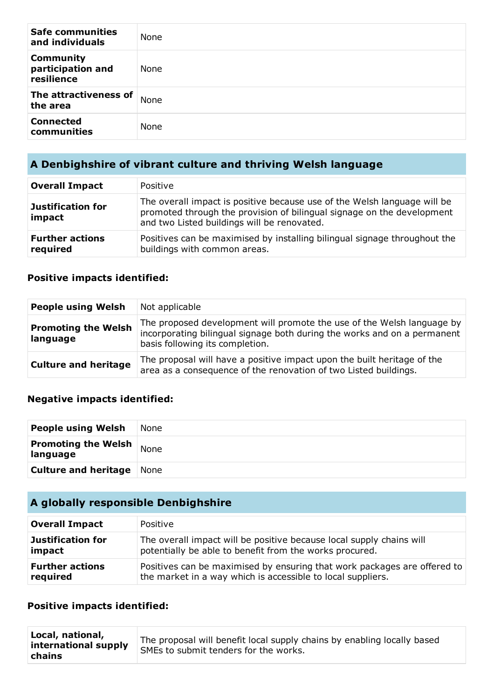| <b>Safe communities</b><br>and individuals          | None |
|-----------------------------------------------------|------|
| <b>Community</b><br>participation and<br>resilience | None |
| The attractiveness of<br>the area                   | None |
| <b>Connected</b><br>communities                     | None |

# **A Denbighshire of vibrant culture and thriving Welsh language**

| <b>Overall Impact</b>              | Positive                                                                                                                                                                                          |
|------------------------------------|---------------------------------------------------------------------------------------------------------------------------------------------------------------------------------------------------|
| Justification for<br>impact        | The overall impact is positive because use of the Welsh language will be<br>promoted through the provision of bilingual signage on the development<br>and two Listed buildings will be renovated. |
| <b>Further actions</b><br>required | Positives can be maximised by installing bilingual signage throughout the<br>buildings with common areas.                                                                                         |

#### **Positive impacts identified:**

| <b>People using Welsh</b>              | Not applicable                                                                                                                                                                        |
|----------------------------------------|---------------------------------------------------------------------------------------------------------------------------------------------------------------------------------------|
| <b>Promoting the Welsh</b><br>language | The proposed development will promote the use of the Welsh language by<br>incorporating bilingual signage both during the works and on a permanent<br>basis following its completion. |
| <b>Culture and heritage</b>            | The proposal will have a positive impact upon the built heritage of the<br>area as a consequence of the renovation of two Listed buildings.                                           |

## **Negative impacts identified:**

| <b>People using Welsh</b>              | None |
|----------------------------------------|------|
| <b>Promoting the Welsh</b><br>language | None |
| <b>Culture and heritage</b> None       |      |

## **A globally responsible Denbighshire**

| <b>Overall Impact</b>    | Positive                                                                 |
|--------------------------|--------------------------------------------------------------------------|
| <b>Justification for</b> | The overall impact will be positive because local supply chains will     |
| impact                   | potentially be able to benefit from the works procured.                  |
| <b>Further actions</b>   | Positives can be maximised by ensuring that work packages are offered to |
| required                 | the market in a way which is accessible to local suppliers.              |

#### **Positive impacts identified:**

| Local, national,<br>international supply<br>chains | The proposal will benefit local supply chains by enabling locally based<br>SMEs to submit tenders for the works. |
|----------------------------------------------------|------------------------------------------------------------------------------------------------------------------|
|----------------------------------------------------|------------------------------------------------------------------------------------------------------------------|